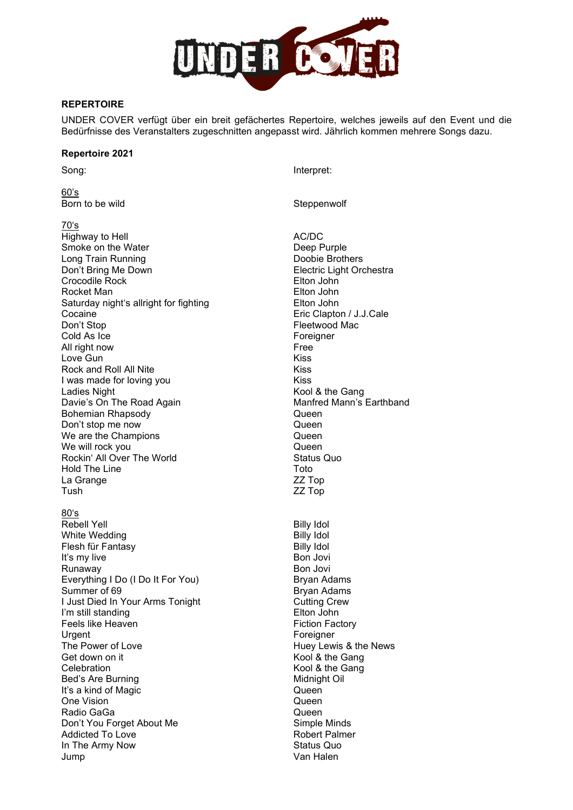

## **REPERTOIRE**

UNDER COVER verfügt über ein breit gefächertes Repertoire, welches jeweils auf den Event und die Bedürfnisse des Veranstalters zugeschnitten angepasst wird. Jährlich kommen mehrere Songs dazu.

## **Repertoire 2021**

<u>60's</u><br>Born to be wild

70's

Highway to Hell **AC/DC**<br>
Smoke on the Water **AC/DC**<br>
Smoke on the Water Smoke on the Water **Smoke on the Water** Christian Controller Christian Deep Purple<br>
Doobie Brothers Long Train Running<br>Don't Bring Me Down Crocodile Rock Elton John Rocket Man Elton John Saturday night's allright for fighting Cocaine Cocaine Cocaine Cocaine Cocaine Cocaine Eric Clapton / J.J.Cale<br>
Don't Stop Cocaine Cocaine Electwood Mac Cold As Ice Foreigner<br>All right now Free All right now the control of the control of the control of the control of the control of the control of the co<br>All right now the control of the control of the control of the control of the control of the control of the co Love Gun Rock and Roll All Nite Kiss I was made for loving you **Kiss** Ladies Night **Kool & the Gang** Davie's On The Road Again Manfred Mann's Earthband Bohemian Rhapsody Queen Don't stop me now Queen We are the Champions Queen Ve will rock you<br>
Rockin' All Over The World<br>
Rockin' All Over The World Rockin' All Over The World Hold The Line Toto La Grange ZZ Top

80ʻs<br>Rebell Yell White Wedding (White Wedding Solid Control of the Billy Idol District Automatic Politics of the Billy Idol District<br>Billy Idol District Automatics of the Billy Idol District Automatics of the Billy Idol District Automatics Flesh für Fantasy Billy Idol It's my live Runaway Bon Jovi Everything I Do (I Do It For You) Bryan Adams Summer of 69 Bryan Adams I Just Died In Your Arms Tonight Cutting Crew I'm still standing **Elton John** Feels like Heaven **Fiction Factory** Urgent Foreigner The Power of Love **Huey Lewis & the News**<br>Get down on it Celebration **Celebration** Celebration **Celebration** Bed's Are Burning Midnight Oil It's a kind of Magic **Queen** One Vision **Queen** Queen **Queen** Radio GaGa Queen Don't You Forget About Me<br>
Addicted To Love<br>
Addicted To Love Addicted To Love In The Army Now Status Quo Jump Van Halen

Song: Interpret:

Steppenwolf

**Electric Light Orchestra** Fleetwood Mac ZZ Top Billy Idol<br>Billy Idol Kool & the Gang